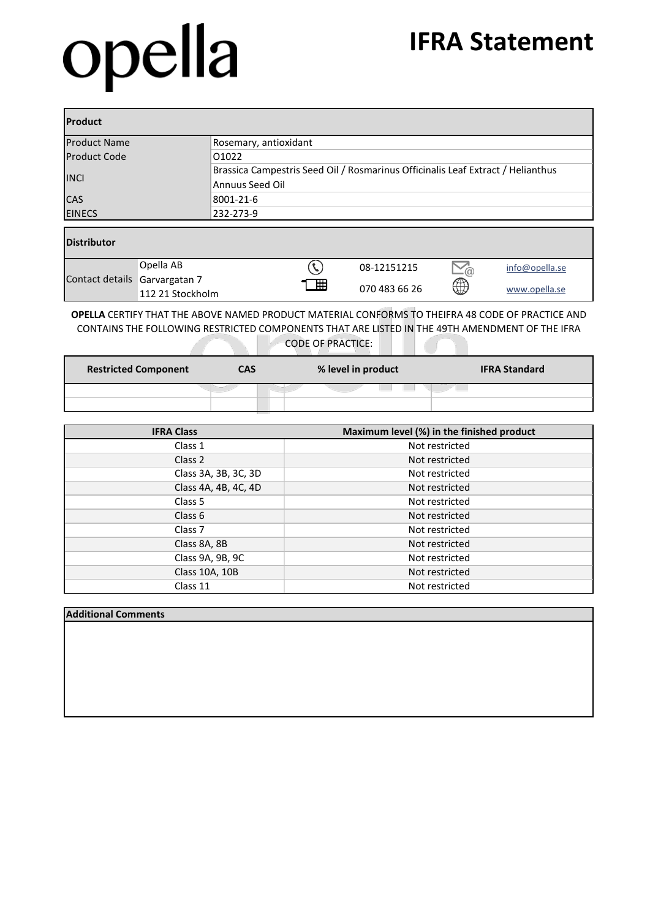## opella

### **IFRA Statement**

| <b>Product</b>                  |                                                                                                    |  |  |  |  |
|---------------------------------|----------------------------------------------------------------------------------------------------|--|--|--|--|
| <b>Product Name</b>             | Rosemary, antioxidant                                                                              |  |  |  |  |
| <b>Product Code</b>             | 01022                                                                                              |  |  |  |  |
| <b>INCI</b>                     | Brassica Campestris Seed Oil / Rosmarinus Officinalis Leaf Extract / Helianthus<br>Annuus Seed Oil |  |  |  |  |
| <b>CAS</b>                      | 8001-21-6                                                                                          |  |  |  |  |
| <b>EINECS</b>                   | 232-273-9                                                                                          |  |  |  |  |
| <b>Distributor</b><br>Opella AB | 08-12151215<br>info@opella.se<br>ัค                                                                |  |  |  |  |

|                               | Obella AB.         |   | 08-12151215   | $\searrow_{\textcircled{a}}$ | info@opella.se |
|-------------------------------|--------------------|---|---------------|------------------------------|----------------|
| Contact details Garvargatan 7 | 112 21 Stockholm ا | 囲 | 070 483 66 26 | ⊕                            | www.opella.se  |

**OPELLA** CERTIFY THAT THE ABOVE NAMED PRODUCT MATERIAL CONFORMS TO THEIFRA 48 CODE OF PRACTICE AND CONTAINS THE FOLLOWING RESTRICTED COMPONENTS THAT ARE LISTED IN THE 49TH AMENDMENT OF THE IFRA CODE OF PRACTICE:

| <b>Restricted Component</b> | CAS | % level in product | <b>IFRA Standard</b> |
|-----------------------------|-----|--------------------|----------------------|
|                             |     |                    |                      |
|                             |     |                    |                      |

| <b>IFRA Class</b>    | Maximum level (%) in the finished product |
|----------------------|-------------------------------------------|
| Class 1              | Not restricted                            |
| Class 2              | Not restricted                            |
| Class 3A, 3B, 3C, 3D | Not restricted                            |
| Class 4A, 4B, 4C, 4D | Not restricted                            |
| Class 5              | Not restricted                            |
| Class 6              | Not restricted                            |
| Class <sub>7</sub>   | Not restricted                            |
| Class 8A, 8B         | Not restricted                            |
| Class 9A, 9B, 9C     | Not restricted                            |
| Class 10A, 10B       | Not restricted                            |
| Class 11             | Not restricted                            |

#### **Additional Comments**